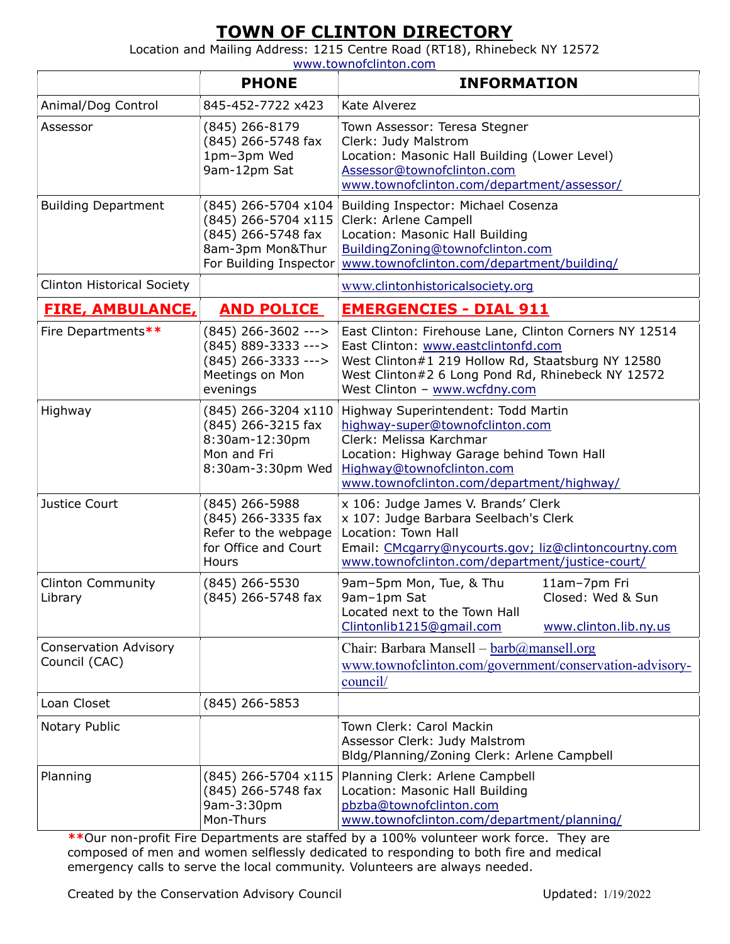## TOWN OF CLINTON DIRECTORY

Location and Mailing Address: 1215 Centre Road (RT18), Rhinebeck NY 12572

www.townofclinton.com

|                                               | <b>PHONE</b>                                                                                                     | <b>INFORMATION</b>                                                                                                                                                                                                                       |
|-----------------------------------------------|------------------------------------------------------------------------------------------------------------------|------------------------------------------------------------------------------------------------------------------------------------------------------------------------------------------------------------------------------------------|
| Animal/Dog Control                            | 845-452-7722 x423                                                                                                | Kate Alverez                                                                                                                                                                                                                             |
| Assessor                                      | (845) 266-8179<br>(845) 266-5748 fax<br>1pm-3pm Wed<br>9am-12pm Sat                                              | Town Assessor: Teresa Stegner<br>Clerk: Judy Malstrom<br>Location: Masonic Hall Building (Lower Level)<br>Assessor@townofclinton.com<br>www.townofclinton.com/department/assessor/                                                       |
| <b>Building Department</b>                    | (845) 266-5704 x104<br>$(845)$ 266-5704 x115<br>(845) 266-5748 fax<br>8am-3pm Mon&Thur<br>For Building Inspector | Building Inspector: Michael Cosenza<br>Clerk: Arlene Campell<br>Location: Masonic Hall Building<br>BuildingZoning@townofclinton.com<br>www.townofclinton.com/department/building/                                                        |
| <b>Clinton Historical Society</b>             |                                                                                                                  | www.clintonhistoricalsociety.org                                                                                                                                                                                                         |
| <b>FIRE, AMBULANCE,</b>                       | <b>AND POLICE</b>                                                                                                | <b>EMERGENCIES - DIAL 911</b>                                                                                                                                                                                                            |
| Fire Departments**                            | $(845)$ 266-3602 ---><br>$(845) 889 - 3333 - - -$<br>$(845)$ 266-3333 ---><br>Meetings on Mon<br>evenings        | East Clinton: Firehouse Lane, Clinton Corners NY 12514<br>East Clinton: www.eastclintonfd.com<br>West Clinton#1 219 Hollow Rd, Staatsburg NY 12580<br>West Clinton#2 6 Long Pond Rd, Rhinebeck NY 12572<br>West Clinton - www.wcfdny.com |
| Highway                                       | (845) 266-3204 x110<br>(845) 266-3215 fax<br>8:30am-12:30pm<br>Mon and Fri<br>8:30am-3:30pm Wed                  | Highway Superintendent: Todd Martin<br>highway-super@townofclinton.com<br>Clerk: Melissa Karchmar<br>Location: Highway Garage behind Town Hall<br>Highway@townofclinton.com<br>www.townofclinton.com/department/highway/                 |
| Justice Court                                 | (845) 266-5988<br>(845) 266-3335 fax<br>Refer to the webpage<br>for Office and Court<br>Hours                    | x 106: Judge James V. Brands' Clerk<br>x 107: Judge Barbara Seelbach's Clerk<br>Location: Town Hall<br>Email: CMcgarry@nycourts.gov; liz@clintoncourtny.com<br>www.townofclinton.com/department/justice-court/                           |
| <b>Clinton Community</b><br>Library           | $(845)$ 266-5530<br>(845) 266-5748 fax                                                                           | 9am-5pm Mon, Tue, & Thu<br>11am-7pm Fri<br>Closed: Wed & Sun<br>9am-1pm Sat<br>Located next to the Town Hall<br>Clintonlib1215@gmail.com<br>www.clinton.lib.ny.us                                                                        |
| <b>Conservation Advisory</b><br>Council (CAC) |                                                                                                                  | Chair: Barbara Mansell – barb@mansell.org<br>www.townofclinton.com/government/conservation-advisory-<br>council/                                                                                                                         |
| Loan Closet                                   | $(845)$ 266-5853                                                                                                 |                                                                                                                                                                                                                                          |
| Notary Public                                 |                                                                                                                  | Town Clerk: Carol Mackin<br>Assessor Clerk: Judy Malstrom<br>Bldg/Planning/Zoning Clerk: Arlene Campbell                                                                                                                                 |
| Planning                                      | (845) 266-5704 x115<br>(845) 266-5748 fax<br>9am-3:30pm<br>Mon-Thurs                                             | Planning Clerk: Arlene Campbell<br>Location: Masonic Hall Building<br>pbzba@townofclinton.com<br>www.townofclinton.com/department/planning/                                                                                              |

\*\*Our non-profit Fire Departments are staffed by a 100% volunteer work force. They are composed of men and women selflessly dedicated to responding to both fire and medical emergency calls to serve the local community. Volunteers are always needed.